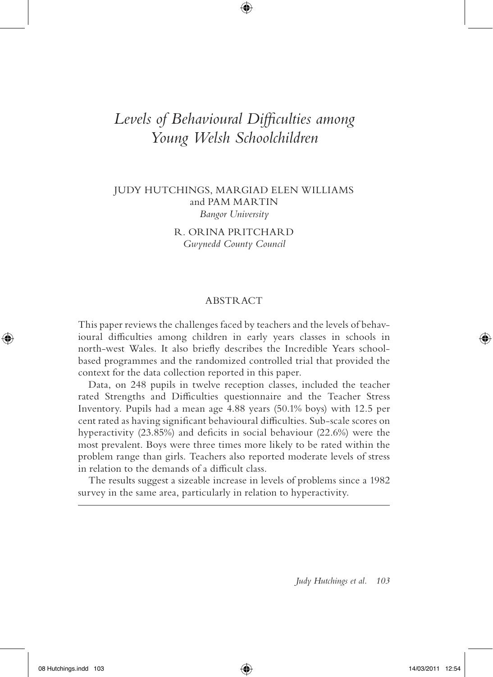# Levels of *Behavioural Difficulties among Young Welsh Schoolchildren*

⊕

# JUDY HUTCHINGS, MARGIAD ELEN WILLIAMS and PAM MARTIN *Bangor University*

R. ORINA PRITCHARD *Gwynedd County Council*

# ABSTRACT

This paper reviews the challenges faced by teachers and the levels of behavioural difficulties among children in early years classes in schools in north-west Wales. It also briefly describes the Incredible Years schoolbased programmes and the randomized controlled trial that provided the context for the data collection reported in this paper.

Data, on 248 pupils in twelve reception classes, included the teacher rated Strengths and Difficulties questionnaire and the Teacher Stress Inventory. Pupils had a mean age 4.88 years (50.1% boys) with 12.5 per cent rated as having significant behavioural difficulties. Sub-scale scores on hyperactivity  $(23.85%)$  and deficits in social behaviour  $(22.6%)$  were the most prevalent. Boys were three times more likely to be rated within the problem range than girls. Teachers also reported moderate levels of stress in relation to the demands of a difficult class.

The results suggest a sizeable increase in levels of problems since a 1982 survey in the same area, particularly in relation to hyperactivity.

*Judy Hutchings et al. 103*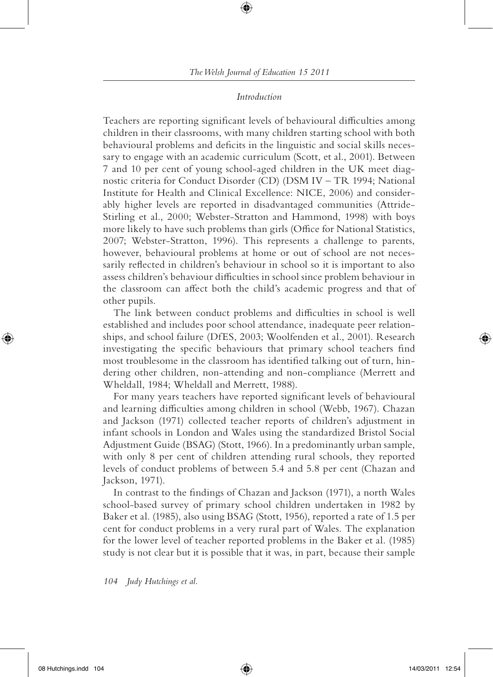## *Introduction*

Teachers are reporting significant levels of behavioural difficulties among children in their classrooms, with many children starting school with both behavioural problems and deficits in the linguistic and social skills necessary to engage with an academic curriculum (Scott, et al., 2001). Between 7 and 10 per cent of young school-aged children in the UK meet diagnostic criteria for Conduct Disorder (CD) (DSM IV – TR 1994; National Institute for Health and Clinical Excellence: NICE, 2006) and considerably higher levels are reported in disadvantaged communities (Attride-Stirling et al., 2000; Webster-Stratton and Hammond, 1998) with boys more likely to have such problems than girls (Office for National Statistics, 2007; Webster-Stratton, 1996). This represents a challenge to parents, however, behavioural problems at home or out of school are not necessarily reflected in children's behaviour in school so it is important to also assess children's behaviour difficulties in school since problem behaviour in the classroom can affect both the child's academic progress and that of other pupils.

The link between conduct problems and difficulties in school is well established and includes poor school attendance, inadequate peer relationships, and school failure (DfES, 2003; Woolfenden et al., 2001). Research investigating the specific behaviours that primary school teachers find most troublesome in the classroom has identified talking out of turn, hindering other children, non-attending and non-compliance (Merrett and Wheldall, 1984; Wheldall and Merrett, 1988).

For many years teachers have reported significant levels of behavioural and learning difficulties among children in school (Webb, 1967). Chazan and Jackson (1971) collected teacher reports of children's adjustment in infant schools in London and Wales using the standardized Bristol Social Adjustment Guide (BSAG) (Stott, 1966). In a predominantly urban sample, with only 8 per cent of children attending rural schools, they reported levels of conduct problems of between 5.4 and 5.8 per cent (Chazan and Jackson, 1971).

In contrast to the findings of Chazan and Jackson (1971), a north Wales school-based survey of primary school children undertaken in 1982 by Baker et al. (1985), also using BSAG (Stott, 1956), reported a rate of 1.5 per cent for conduct problems in a very rural part of Wales. The explanation for the lower level of teacher reported problems in the Baker et al. (1985) study is not clear but it is possible that it was, in part, because their sample

#### *104 Judy Hutchings et al.*

08 Hutchings.indd 104  $\bigoplus$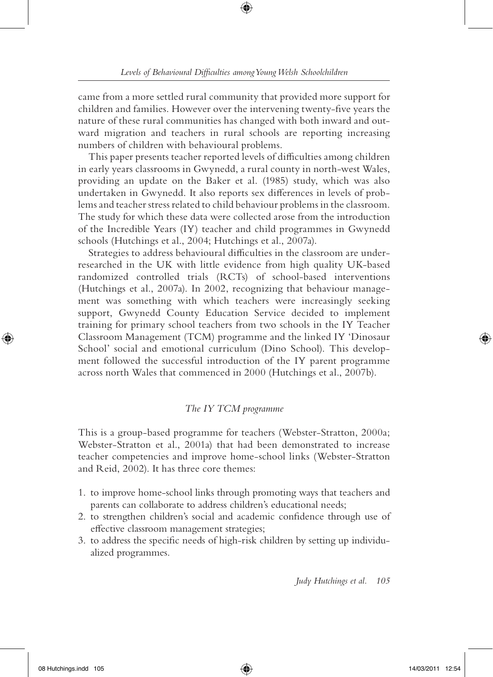came from a more settled rural community that provided more support for children and families. However over the intervening twenty-five years the nature of these rural communities has changed with both inward and outward migration and teachers in rural schools are reporting increasing numbers of children with behavioural problems.

This paper presents teacher reported levels of difficulties among children in early years classrooms in Gwynedd, a rural county in north-west Wales, providing an update on the Baker et al. (1985) study, which was also undertaken in Gwynedd. It also reports sex differences in levels of problems and teacher stress related to child behaviour problems in the classroom. The study for which these data were collected arose from the introduction of the Incredible Years (IY) teacher and child programmes in Gwynedd schools (Hutchings et al., 2004; Hutchings et al., 2007a).

Strategies to address behavioural difficulties in the classroom are underresearched in the UK with little evidence from high quality UK-based randomized controlled trials (RCTs) of school-based interventions (Hutchings et al., 2007a). In 2002, recognizing that behaviour management was something with which teachers were increasingly seeking support, Gwynedd County Education Service decided to implement training for primary school teachers from two schools in the IY Teacher Classroom Management (TCM) programme and the linked IY 'Dinosaur School' social and emotional curriculum (Dino School). This development followed the successful introduction of the IY parent programme across north Wales that commenced in 2000 (Hutchings et al., 2007b).

# *The IY TCM programme*

This is a group-based programme for teachers (Webster-Stratton, 2000a; Webster-Stratton et al., 2001a) that had been demonstrated to increase teacher competencies and improve home-school links (Webster-Stratton and Reid, 2002). It has three core themes:

- 1. to improve home-school links through promoting ways that teachers and parents can collaborate to address children's educational needs;
- 2. to strengthen children's social and academic confidence through use of effective classroom management strategies;
- 3. to address the specific needs of high-risk children by setting up individualized programmes.

*Judy Hutchings et al. 105*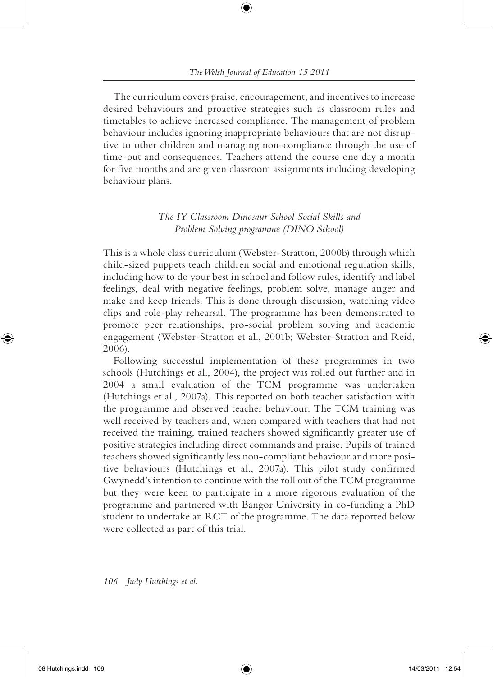The curriculum covers praise, encouragement, and incentives to increase desired behaviours and proactive strategies such as classroom rules and timetables to achieve increased compliance. The management of problem behaviour includes ignoring inappropriate behaviours that are not disruptive to other children and managing non-compliance through the use of time-out and consequences. Teachers attend the course one day a month for five months and are given classroom assignments including developing behaviour plans.

# *The IY Classroom Dinosaur School Social Skills and Problem Solving programme (DINO School)*

This is a whole class curriculum (Webster-Stratton, 2000b) through which child-sized puppets teach children social and emotional regulation skills, including how to do your best in school and follow rules, identify and label feelings, deal with negative feelings, problem solve, manage anger and make and keep friends. This is done through discussion, watching video clips and role-play rehearsal. The programme has been demonstrated to promote peer relationships, pro-social problem solving and academic engagement (Webster-Stratton et al., 2001b; Webster-Stratton and Reid, 2006).

Following successful implementation of these programmes in two schools (Hutchings et al., 2004), the project was rolled out further and in 2004 a small evaluation of the TCM programme was undertaken (Hutchings et al., 2007a). This reported on both teacher satisfaction with the programme and observed teacher behaviour. The TCM training was well received by teachers and, when compared with teachers that had not received the training, trained teachers showed significantly greater use of positive strategies including direct commands and praise. Pupils of trained teachers showed significantly less non-compliant behaviour and more positive behaviours (Hutchings et al., 2007a). This pilot study confirmed Gwynedd's intention to continue with the roll out of the TCM programme but they were keen to participate in a more rigorous evaluation of the programme and partnered with Bangor University in co-funding a PhD student to undertake an RCT of the programme. The data reported below were collected as part of this trial.

*106 Judy Hutchings et al.*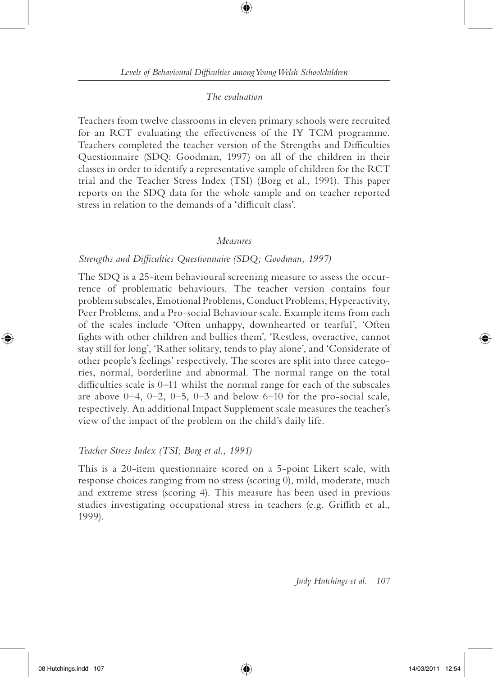# *The evaluation*

Teachers from twelve classrooms in eleven primary schools were recruited for an RCT evaluating the effectiveness of the IY TCM programme. Teachers completed the teacher version of the Strengths and Difficulties Questionnaire (SDQ: Goodman, 1997) on all of the children in their classes in order to identify a representative sample of children for the RCT trial and the Teacher Stress Index (TSI) (Borg et al., 1991). This paper reports on the SDQ data for the whole sample and on teacher reported stress in relation to the demands of a 'difficult class'.

### *Measures*

## Strengths and Difficulties Questionnaire (SDQ; Goodman, 1997)

The SDQ is a 25-item behavioural screening measure to assess the occurrence of problematic behaviours. The teacher version contains four problem subscales, Emotional Problems, Conduct Problems, Hyperactivity, Peer Problems, and a Pro-social Behaviour scale. Example items from each of the scales include 'Often unhappy, downhearted or tearful', 'Often fights with other children and bullies them', 'Restless, overactive, cannot stay still for long', 'Rather solitary, tends to play alone', and 'Considerate of other people's feelings' respectively. The scores are split into three categories, normal, borderline and abnormal. The normal range on the total difficulties scale is  $0-11$  whilst the normal range for each of the subscales are above  $0-4$ ,  $0-2$ ,  $0-5$ ,  $0-3$  and below  $6-10$  for the pro-social scale, respectively. An additional Impact Supplement scale measures the teacher's view of the impact of the problem on the child's daily life.

#### *Teacher Stress Index (TSI; Borg et al., 1991)*

This is a 20-item questionnaire scored on a 5-point Likert scale, with response choices ranging from no stress (scoring 0), mild, moderate, much and extreme stress (scoring 4). This measure has been used in previous studies investigating occupational stress in teachers (e.g. Griffith et al., 1999).

*Judy Hutchings et al. 107*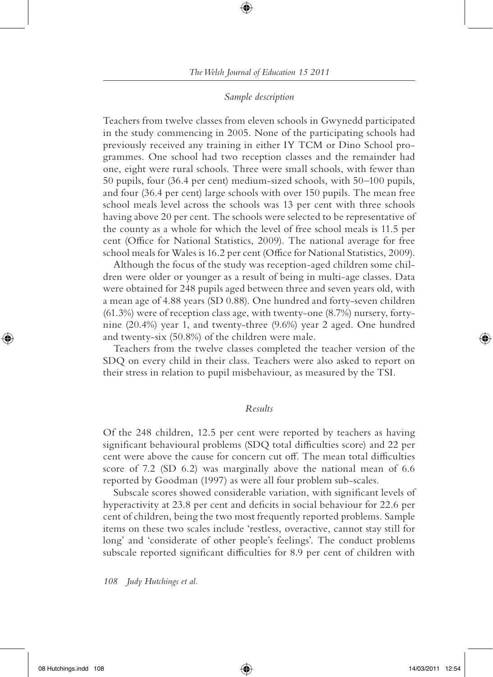# *Sample description*

Teachers from twelve classes from eleven schools in Gwynedd participated in the study commencing in 2005. None of the participating schools had previously received any training in either IY TCM or Dino School programmes. One school had two reception classes and the remainder had one, eight were rural schools. Three were small schools, with fewer than 50 pupils, four (36.4 per cent) medium-sized schools, with 50–100 pupils, and four (36.4 per cent) large schools with over 150 pupils. The mean free school meals level across the schools was 13 per cent with three schools having above 20 per cent. The schools were selected to be representative of the county as a whole for which the level of free school meals is 11.5 per cent (Office for National Statistics, 2009). The national average for free school meals for Wales is 16.2 per cent (Office for National Statistics, 2009).

Although the focus of the study was reception-aged children some children were older or younger as a result of being in multi-age classes. Data were obtained for 248 pupils aged between three and seven years old, with a mean age of 4.88 years (SD 0.88). One hundred and forty-seven children (61.3%) were of reception class age, with twenty-one (8.7%) nursery, fortynine (20.4%) year 1, and twenty-three (9.6%) year 2 aged. One hundred and twenty-six (50.8%) of the children were male.

Teachers from the twelve classes completed the teacher version of the SDQ on every child in their class. Teachers were also asked to report on their stress in relation to pupil misbehaviour, as measured by the TSI.

## *Results*

Of the 248 children, 12.5 per cent were reported by teachers as having significant behavioural problems (SDQ total difficulties score) and 22 per cent were above the cause for concern cut off. The mean total difficulties score of 7.2 (SD 6.2) was marginally above the national mean of 6.6 reported by Goodman (1997) as were all four problem sub-scales.

Subscale scores showed considerable variation, with significant levels of hyperactivity at 23.8 per cent and deficits in social behaviour for 22.6 per cent of children, being the two most frequently reported problems. Sample items on these two scales include 'restless, overactive, cannot stay still for long' and 'considerate of other people's feelings'. The conduct problems subscale reported significant difficulties for 8.9 per cent of children with

*108 Judy Hutchings et al.*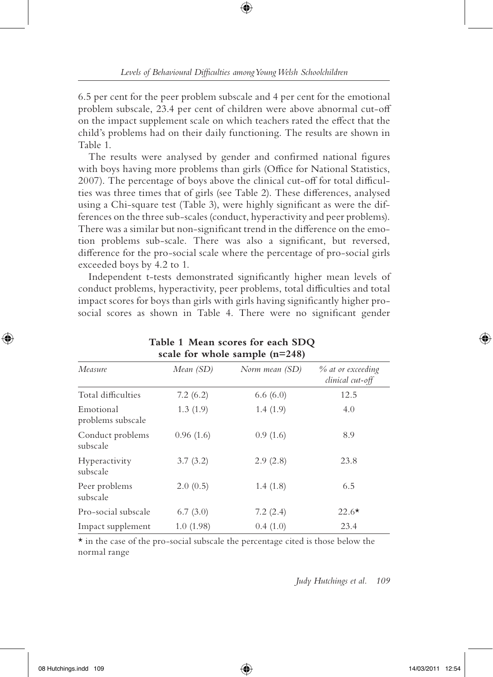6.5 per cent for the peer problem subscale and 4 per cent for the emotional problem subscale, 23.4 per cent of children were above abnormal cut-off on the impact supplement scale on which teachers rated the effect that the child's problems had on their daily functioning. The results are shown in Table 1.

The results were analysed by gender and confirmed national figures with boys having more problems than girls (Office for National Statistics, 2007). The percentage of boys above the clinical cut-off for total difficulties was three times that of girls (see Table 2). These differences, analysed using a Chi-square test (Table 3), were highly significant as were the differences on the three sub-scales (conduct, hyperactivity and peer problems). There was a similar but non-significant trend in the difference on the emotion problems sub-scale. There was also a significant, but reversed, difference for the pro-social scale where the percentage of pro-social girls exceeded boys by 4.2 to 1.

Independent t-tests demonstrated significantly higher mean levels of conduct problems, hyperactivity, peer problems, total difficulties and total impact scores for boys than girls with girls having significantly higher prosocial scores as shown in Table 4. There were no significant gender

| scare for whole sample $\mu$ = $\sigma$ |           |                |                                       |  |
|-----------------------------------------|-----------|----------------|---------------------------------------|--|
| Measure                                 | Mean (SD) | Norm mean (SD) | % at or exceeding<br>clinical cut-off |  |
| Total difficulties                      | 7.2(6.2)  | 6.6(6.0)       | 12.5                                  |  |
| Emotional<br>problems subscale          | 1.3(1.9)  | 1.4(1.9)       | 4.0                                   |  |
| Conduct problems<br>subscale            | 0.96(1.6) | 0.9(1.6)       | 8.9                                   |  |
| Hyperactivity<br>subscale               | 3.7(3.2)  | 2.9(2.8)       | 23.8                                  |  |
| Peer problems<br>subscale               | 2.0(0.5)  | 1.4(1.8)       | 6.5                                   |  |
| Pro-social subscale                     | 6.7(3.0)  | 7.2(2.4)       | $22.6*$                               |  |
| Impact supplement                       | 1.0(1.98) | 0.4(1.0)       | 23.4                                  |  |

# **Table 1 Mean scores for each SDQ scale for whole sample (n=248)**

 $\star$  in the case of the pro-social subscale the percentage cited is those below the normal range

*Judy Hutchings et al. 109*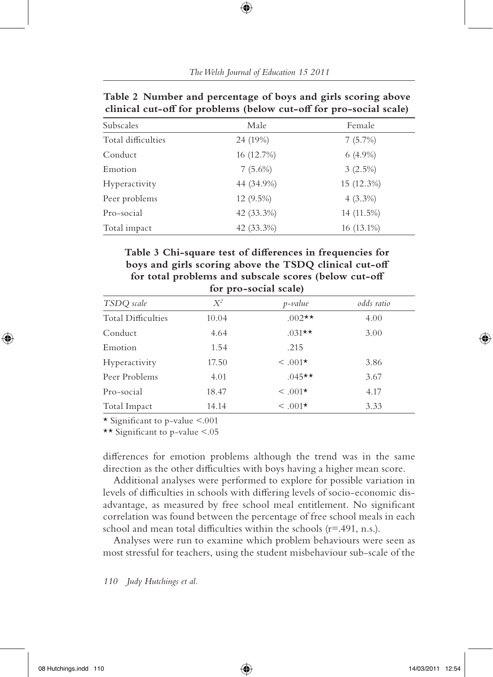| clinical cut-off for problems (below cut-off for pro-social scale) |             |              |  |
|--------------------------------------------------------------------|-------------|--------------|--|
| Subscales                                                          | Male        | Female       |  |
| Total difficulties                                                 | 24 (19%)    | 7(5.7%)      |  |
| Conduct                                                            | 16 (12.7%)  | $6(4.9\%)$   |  |
| Emotion                                                            | $7(5.6\%)$  | $3(2.5\%)$   |  |
| Hyperactivity                                                      | 44 (34.9%)  | $15(12.3\%)$ |  |
| Peer problems                                                      | $12(9.5\%)$ | $4(3.3\%)$   |  |
| Pro-social                                                         | 42 (33.3%)  | 14 (11.5%)   |  |
| Total impact                                                       | 42 (33.3%)  | 16 (13.1%)   |  |

**Table 2 Number and percentage of boys and girls scoring above**  clinical cut-off for problems (below cut-off for pro-social scale)

Table 3 Chi-square test of differences in frequencies for boys and girls scoring above the TSDQ clinical cut-off for total problems and subscale scores (below cut-off **for pro-social scale)**

| TSDQ scale                | $X^2$ | $p$ -value   | odds ratio |
|---------------------------|-------|--------------|------------|
| <b>Total Difficulties</b> | 10.04 | $.002**$     | 4.00       |
| Conduct                   | 4.64  | $.031**$     | 3.00       |
| Emotion                   | 1.54  | .215         |            |
| Hyperactivity             | 17.50 | $\leq .001*$ | 3.86       |
| Peer Problems             | 4.01  | $.045**$     | 3.67       |
| Pro-social                | 18.47 | $\leq .001*$ | 4.17       |
| Total Impact              | 14.14 | $\leq .001*$ | 3.33       |

 $\star$  Significant to p-value  $\leq 0.01$ 

\*\* Significant to p-value  $\leq$ .05

differences for emotion problems although the trend was in the same direction as the other difficulties with boys having a higher mean score.

Additional analyses were performed to explore for possible variation in levels of difficulties in schools with differing levels of socio-economic disadvantage, as measured by free school meal entitlement. No significant correlation was found between the percentage of free school meals in each school and mean total difficulties within the schools  $(r=491, n.s.).$ 

Analyses were run to examine which problem behaviours were seen as most stressful for teachers, using the student misbehaviour sub-scale of the

*110 Judy Hutchings et al.*

⊕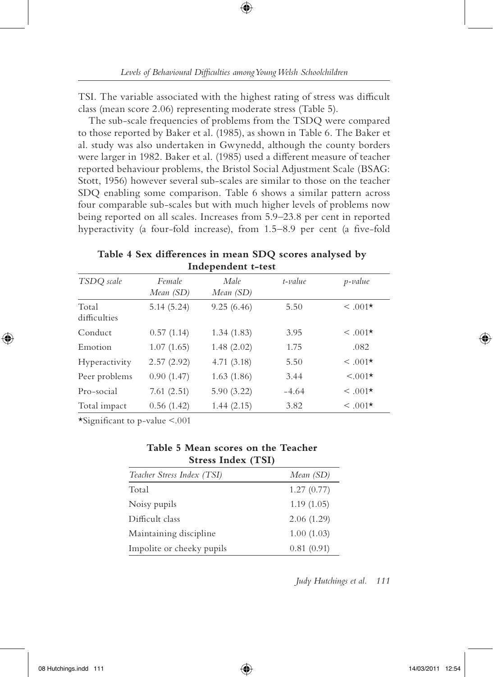₩

TSI. The variable associated with the highest rating of stress was difficult class (mean score 2.06) representing moderate stress (Table 5).

The sub-scale frequencies of problems from the TSDQ were compared to those reported by Baker et al. (1985), as shown in Table 6. The Baker et al. study was also undertaken in Gwynedd, although the county borders were larger in 1982. Baker et al. (1985) used a different measure of teacher reported behaviour problems, the Bristol Social Adjustment Scale (BSAG: Stott, 1956) however several sub-scales are similar to those on the teacher SDQ enabling some comparison. Table 6 shows a similar pattern across four comparable sub-scales but with much higher levels of problems now being reported on all scales. Increases from 5.9–23.8 per cent in reported hyperactivity (a four-fold increase), from  $1.5-8.9$  per cent (a five-fold

Table 4 Sex differences in mean SDQ scores analysed by **Independent t-test**

| TSDQ scale            | Female     | Male       | $t$ -value | p-value      |
|-----------------------|------------|------------|------------|--------------|
|                       | Mean (SD)  | Mean (SD)  |            |              |
| Total<br>difficulties | 5.14(5.24) | 9.25(6.46) | 5.50       | $<.001*$     |
| Conduct               | 0.57(1.14) | 1.34(1.83) | 3.95       | $\leq .001*$ |
| Emotion               | 1.07(1.65) | 1.48(2.02) | 1.75       | .082         |
| Hyperactivity         | 2.57(2.92) | 4.71(3.18) | 5.50       | $<.001*$     |
| Peer problems         | 0.90(1.47) | 1.63(1.86) | 3.44       | $< 0.01*$    |
| Pro-social            | 7.61(2.51) | 5.90(3.22) | $-4.64$    | $<.001*$     |
| Total impact          | 0.56(1.42) | 1.44(2.15) | 3.82       | $<.001*$     |

 $\star$ Significant to p-value <.001

# **Table 5 Mean scores on the Teacher Stress Index (TSI)**

| Teacher Stress Index (TSI) | Mean (SD)  |
|----------------------------|------------|
| Total                      | 1.27(0.77) |
| Noisy pupils               | 1.19(1.05) |
| Difficult class            | 2.06(1.29) |
| Maintaining discipline     | 1.00(1.03) |
| Impolite or cheeky pupils  | 0.81(0.91) |

*Judy Hutchings et al. 111*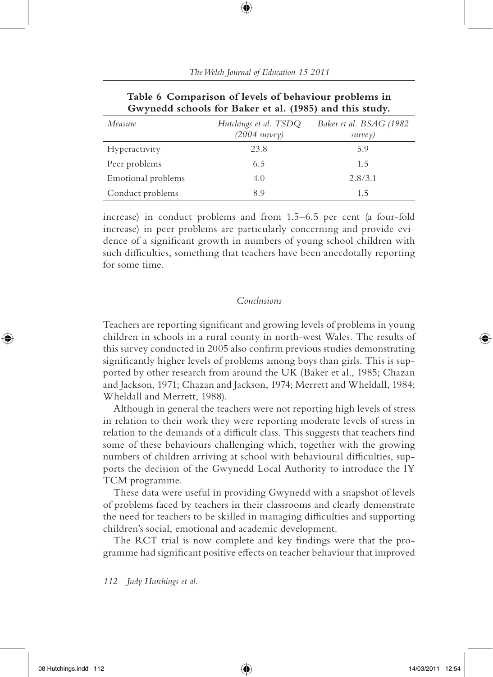| Measure            | Hutchings et al. TSDQ   | Baker et al. BSAG (1982) |
|--------------------|-------------------------|--------------------------|
|                    | $(2004 \text{ survey})$ | survey)                  |
| Hyperactivity      | 23.8                    | 5.9                      |
| Peer problems      | 6.5                     | 1.5                      |
| Emotional problems | 4.0                     | 2.8/3.1                  |
| Conduct problems   | 89                      | 1.5                      |

| Table 6 Comparison of levels of behaviour problems in   |  |
|---------------------------------------------------------|--|
| Gwynedd schools for Baker et al. (1985) and this study. |  |

increase) in conduct problems and from 1.5–6.5 per cent (a four-fold increase) in peer problems are particularly concerning and provide evidence of a significant growth in numbers of young school children with such difficulties, something that teachers have been anecdotally reporting for some time.

## *Conclusions*

Teachers are reporting significant and growing levels of problems in young children in schools in a rural county in north-west Wales. The results of this survey conducted in 2005 also confirm previous studies demonstrating significantly higher levels of problems among boys than girls. This is supported by other research from around the UK (Baker et al., 1985; Chazan and Jackson, 1971; Chazan and Jackson, 1974; Merrett and Wheldall, 1984; Wheldall and Merrett, 1988).

Although in general the teachers were not reporting high levels of stress in relation to their work they were reporting moderate levels of stress in relation to the demands of a difficult class. This suggests that teachers find some of these behaviours challenging which, together with the growing numbers of children arriving at school with behavioural difficulties, supports the decision of the Gwynedd Local Authority to introduce the IY TCM programme.

These data were useful in providing Gwynedd with a snapshot of levels of problems faced by teachers in their classrooms and clearly demonstrate the need for teachers to be skilled in managing difficulties and supporting children's social, emotional and academic development.

The RCT trial is now complete and key findings were that the programme had significant positive effects on teacher behaviour that improved

#### *112 Judy Hutchings et al.*

08 Hutchings.indd 112  $\bigoplus$  14/03/2011 12:54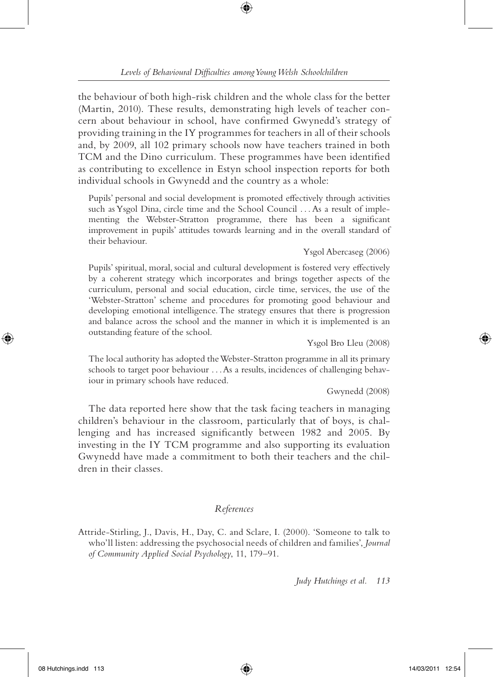the behaviour of both high-risk children and the whole class for the better (Martin, 2010). These results, demonstrating high levels of teacher concern about behaviour in school, have confirmed Gwynedd's strategy of providing training in the IY programmes for teachers in all of their schools and, by 2009, all 102 primary schools now have teachers trained in both TCM and the Dino curriculum. These programmes have been identified as contributing to excellence in Estyn school inspection reports for both individual schools in Gwynedd and the country as a whole:

Pupils' personal and social development is promoted effectively through activities such as Ysgol Dina, circle time and the School Council . . . As a result of implementing the Webster-Stratton programme, there has been a significant improvement in pupils' attitudes towards learning and in the overall standard of their behaviour.

#### Ysgol Abercaseg (2006)

Pupils' spiritual, moral, social and cultural development is fostered very effectively by a coherent strategy which incorporates and brings together aspects of the curriculum, personal and social education, circle time, services, the use of the 'Webster-Stratton' scheme and procedures for promoting good behaviour and developing emotional intelligence. The strategy ensures that there is progression and balance across the school and the manner in which it is implemented is an outstanding feature of the school.

Ysgol Bro Lleu (2008)

The local authority has adopted the Webster-Stratton programme in all its primary schools to target poor behaviour . . . As a results, incidences of challenging behaviour in primary schools have reduced.

Gwynedd (2008)

The data reported here show that the task facing teachers in managing children's behaviour in the classroom, particularly that of boys, is challenging and has increased significantly between 1982 and 2005. By investing in the IY TCM programme and also supporting its evaluation Gwynedd have made a commitment to both their teachers and the children in their classes.

# *References*

Attride-Stirling, J., Davis, H., Day, C. and Sclare, I. (2000). 'Someone to talk to who'll listen: addressing the psychosocial needs of children and families', *Journal of Community Applied Social Psychology*, 11, 179–91.

*Judy Hutchings et al. 113*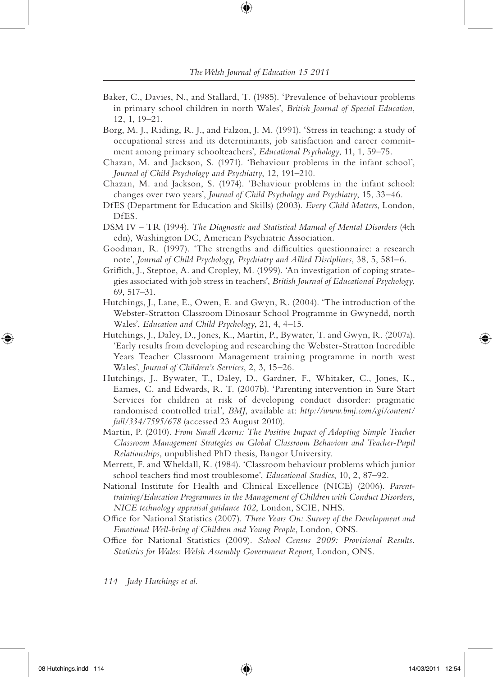- Baker, C., Davies, N., and Stallard, T. (1985). 'Prevalence of behaviour problems in primary school children in north Wales', *British Journal of Special Education*, 12, 1, 19–21.
- Borg, M. J., Riding, R. J., and Falzon, J. M. (1991). 'Stress in teaching: a study of occupational stress and its determinants, job satisfaction and career commitment among primary schoolteachers', *Educational Psychology*, 11, 1, 59–75.
- Chazan, M. and Jackson, S. (1971). 'Behaviour problems in the infant school', *Journal of Child Psychology and Psychiatry*, 12, 191–210.
- Chazan, M. and Jackson, S. (1974). 'Behaviour problems in the infant school: changes over two years', *Journal of Child Psychology and Psychiatry*, 15, 33–46.
- DfES (Department for Education and Skills) (2003). *Every Child Matters*, London, DfES.
- DSM IV TR (1994). *The Diagnostic and Statistical Manual of Mental Disorders* (4th edn), Washington DC, American Psychiatric Association.
- Goodman, R. (1997). 'The strengths and difficulties questionnaire: a research note', *Journal of Child Psychology, Psychiatry and Allied Disciplines*, 38, 5, 581–6.
- Griffith, J., Steptoe, A. and Cropley, M. (1999). 'An investigation of coping strategies associated with job stress in teachers', *British Journal of Educational Psychology*, 69, 517–31.
- Hutchings, J., Lane, E., Owen, E. and Gwyn, R. (2004). 'The introduction of the Webster-Stratton Classroom Dinosaur School Programme in Gwynedd, north Wales', *Education and Child Psychology*, 21, 4, 4–15.
- Hutchings, J., Daley, D., Jones, K., Martin, P., Bywater, T. and Gwyn, R. (2007a). 'Early results from developing and researching the Webster-Stratton Incredible Years Teacher Classroom Management training programme in north west Wales', *Journal of Children's Services*, 2, 3, 15–26.
- Hutchings, J., Bywater, T., Daley, D., Gardner, F., Whitaker, C., Jones, K., Eames, C. and Edwards, R. T. (2007b). 'Parenting intervention in Sure Start Services for children at risk of developing conduct disorder: pragmatic randomised controlled trial', *BMJ*, available at: *http://www.bmj.com/cgi/content/ full/334/7595/678* (accessed 23 August 2010).
- Martin, P. (2010). *From Small Acorns: The Positive Impact of Adopting Simple Teacher Classroom Management Strategies on Global Classroom Behaviour and Teacher-Pupil Relationships*, unpublished PhD thesis, Bangor University.
- Merrett, F. and Wheldall, K. (1984). 'Classroom behaviour problems which junior school teachers #nd most troublesome', *Educational Studies*, 10, 2, 87–92.
- National Institute for Health and Clinical Excellence (NICE) (2006). *Parenttraining/Education Programmes in the Management of Children with Conduct Disorders, NICE technology appraisal guidance 102*, London, SCIE, NHS.
- Office for National Statistics (2007). *Three Years On: Survey of the Development and Emotional Well-being of Children and Young People*, London, ONS.
- Office for National Statistics (2009). *School Census 2009: Provisional Results. Statistics for Wales: Welsh Assembly Government Report*, London, ONS.
- *114 Judy Hutchings et al.*

↔